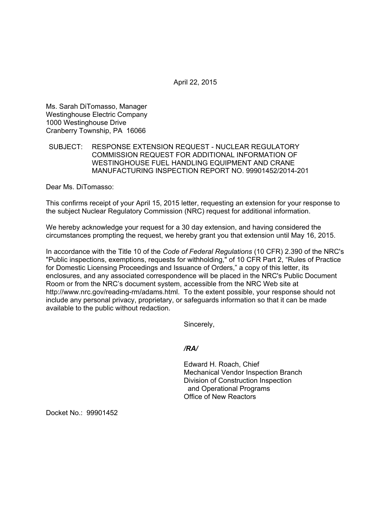April 22, 2015

Ms. Sarah DiTomasso, Manager Westinghouse Electric Company 1000 Westinghouse Drive Cranberry Township, PA 16066

# SUBJECT: RESPONSE EXTENSION REQUEST - NUCLEAR REGULATORY COMMISSION REQUEST FOR ADDITIONAL INFORMATION OF WESTINGHOUSE FUEL HANDLING EQUIPMENT AND CRANE MANUFACTURING INSPECTION REPORT NO. 99901452/2014-201

Dear Ms. DiTomasso:

This confirms receipt of your April 15, 2015 letter, requesting an extension for your response to the subject Nuclear Regulatory Commission (NRC) request for additional information.

We hereby acknowledge your request for a 30 day extension, and having considered the circumstances prompting the request, we hereby grant you that extension until May 16, 2015.

In accordance with the Title 10 of the *Code of Federal Regulations* (10 CFR) 2.390 of the NRC's "Public inspections, exemptions, requests for withholding," of 10 CFR Part 2, "Rules of Practice for Domestic Licensing Proceedings and Issuance of Orders," a copy of this letter, its enclosures, and any associated correspondence will be placed in the NRC's Public Document Room or from the NRC's document system, accessible from the NRC Web site at http://www.nrc.gov/reading-rm/adams.html. To the extent possible, your response should not include any personal privacy, proprietary, or safeguards information so that it can be made available to the public without redaction.

Sincerely,

# */RA/*

Edward H. Roach, Chief Mechanical Vendor Inspection Branch Division of Construction Inspection and Operational Programs Office of New Reactors

Docket No.: 99901452